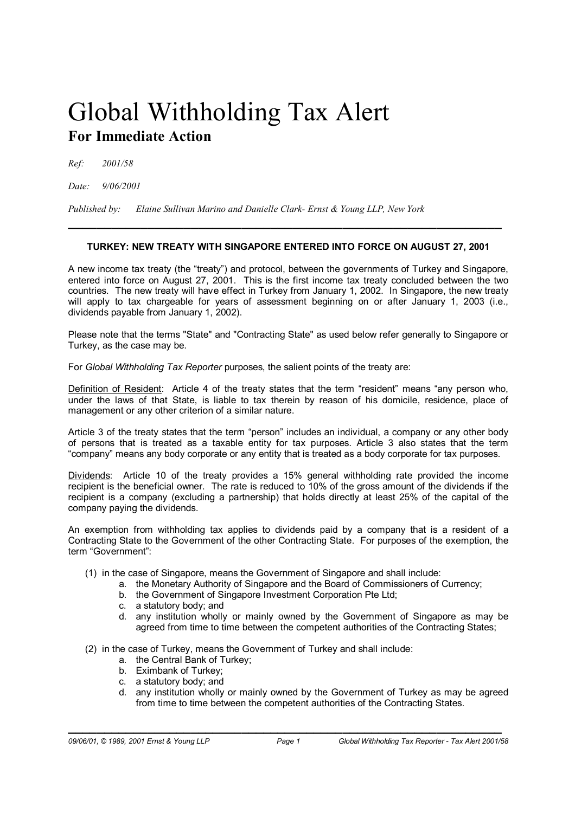## Global Withholding Tax Alert **For Immediate Action**

*Ref: 2001/58* 

*Date: 9/06/2001* 

*Published by: Elaine Sullivan Marino and Danielle Clark- Ernst & Young LLP, New York* 

## **TURKEY: NEW TREATY WITH SINGAPORE ENTERED INTO FORCE ON AUGUST 27, 2001**

**\_\_\_\_\_\_\_\_\_\_\_\_\_\_\_\_\_\_\_\_\_\_\_\_\_\_\_\_\_\_\_\_\_\_\_\_\_\_\_\_\_\_\_\_\_\_\_\_\_\_\_\_\_\_\_\_\_\_\_\_**

A new income tax treaty (the "treaty") and protocol, between the governments of Turkey and Singapore, entered into force on August 27, 2001. This is the first income tax treaty concluded between the two countries. The new treaty will have effect in Turkey from January 1, 2002. In Singapore, the new treaty will apply to tax chargeable for years of assessment beginning on or after January 1, 2003 (i.e., dividends payable from January 1, 2002).

Please note that the terms "State" and "Contracting State" as used below refer generally to Singapore or Turkey, as the case may be.

For *Global Withholding Tax Reporter* purposes, the salient points of the treaty are:

Definition of Resident: Article 4 of the treaty states that the term "resident" means "any person who, under the laws of that State, is liable to tax therein by reason of his domicile, residence, place of management or any other criterion of a similar nature.

Article 3 of the treaty states that the term "person" includes an individual, a company or any other body of persons that is treated as a taxable entity for tax purposes. Article 3 also states that the term "company" means any body corporate or any entity that is treated as a body corporate for tax purposes.

Dividends: Article 10 of the treaty provides a 15% general withholding rate provided the income recipient is the beneficial owner. The rate is reduced to 10% of the gross amount of the dividends if the recipient is a company (excluding a partnership) that holds directly at least 25% of the capital of the company paying the dividends.

An exemption from withholding tax applies to dividends paid by a company that is a resident of a Contracting State to the Government of the other Contracting State. For purposes of the exemption, the term "Government":

- (1) in the case of Singapore, means the Government of Singapore and shall include:
	- a. the Monetary Authority of Singapore and the Board of Commissioners of Currency;
	- b. the Government of Singapore Investment Corporation Pte Ltd;
	- c. a statutory body; and
	- d. any institution wholly or mainly owned by the Government of Singapore as may be agreed from time to time between the competent authorities of the Contracting States;
- (2) in the case of Turkey, means the Government of Turkey and shall include:
	- a. the Central Bank of Turkey;
	- b. Eximbank of Turkey;
	- c. a statutory body; and
	- d. any institution wholly or mainly owned by the Government of Turkey as may be agreed from time to time between the competent authorities of the Contracting States.